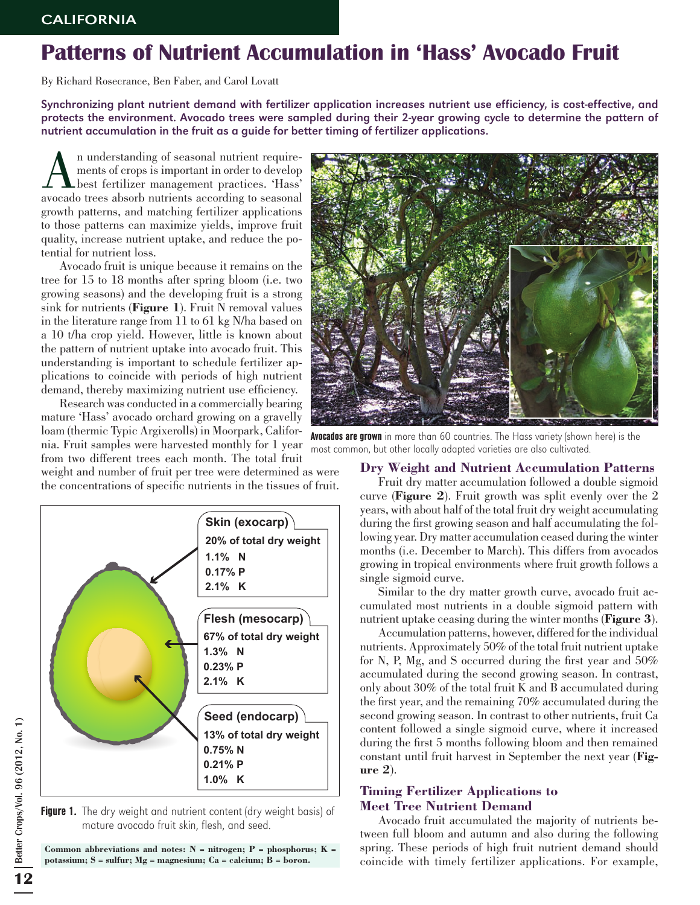## Patterns of Nutrient Accumulation in 'Hass' Avocado Fruit

By Richard Rosecrance, Ben Faber, and Carol Lovatt

Synchronizing plant nutrient demand with fertilizer application increases nutrient use efficiency, is cost-effective, and protects the environment. Avocado trees were sampled during their 2-year growing cycle to determine the pattern of nutrient accumulation in the fruit as a guide for better timing of fertilizer applications.

An understanding of seasonal nutrient require-<br>
hest fertilizer management practices. 'Hass'<br>
avocado trees aborb nutrients according to seasonal ments of crops is important in order to develop avocado trees absorb nutrients according to seasonal growth patterns, and matching fertilizer applications to those patterns can maximize yields, improve fruit quality, increase nutrient uptake, and reduce the potential for nutrient loss.

Avocado fruit is unique because it remains on the tree for 15 to 18 months after spring bloom (i.e. two growing seasons) and the developing fruit is a strong sink for nutrients (**Figure 1**). Fruit N removal values in the literature range from 11 to 61 kg N/ha based on a 10 t/ha crop yield. However, little is known about the pattern of nutrient uptake into avocado fruit. This understanding is important to schedule fertilizer applications to coincide with periods of high nutrient demand, thereby maximizing nutrient use efficiency.

Research was conducted in a commercially bearing mature 'Hass' avocado orchard growing on a gravelly loam (thermic Typic Argixerolls) in Moorpark, California. Fruit samples were harvested monthly for 1 year from two different trees each month. The total fruit

weight and number of fruit per tree were determined as were the concentrations of specific nutrients in the tissues of fruit.



Figure 1. The dry weight and nutrient content (dry weight basis) of mature avocado fruit skin, flesh, and seed.

**Common abbreviations and notes: N = nitrogen; P = phosphorus; K = potassium; S = sulfur; Mg = magnesium; Ca = calcium; B = boron.**



Avocados are grown in more than 60 countries. The Hass variety (shown here) is the most common, but other locally adapted varieties are also cultivated.

## **Dry Weight and Nutrient Accumulation Patterns**

Fruit dry matter accumulation followed a double sigmoid curve (**Figure 2**). Fruit growth was split evenly over the 2 years, with about half of the total fruit dry weight accumulating during the first growing season and half accumulating the following year. Dry matter accumulation ceased during the winter months (i.e. December to March). This differs from avocados growing in tropical environments where fruit growth follows a single sigmoid curve.

Similar to the dry matter growth curve, avocado fruit accumulated most nutrients in a double sigmoid pattern with nutrient uptake ceasing during the winter months (**Figure 3**).

Accumulation patterns, however, differed for the individual nutrients. Approximately 50% of the total fruit nutrient uptake for N, P, Mg, and S occurred during the first year and 50% accumulated during the second growing season. In contrast, only about 30% of the total fruit K and B accumulated during the first year, and the remaining 70% accumulated during the second growing season. In contrast to other nutrients, fruit Ca content followed a single sigmoid curve, where it increased during the first 5 months following bloom and then remained constant until fruit harvest in September the next year (**Figure 2**).

## **Timing Fertilizer Applications to Meet Tree Nutrient Demand**

Avocado fruit accumulated the majority of nutrients between full bloom and autumn and also during the following spring. These periods of high fruit nutrient demand should coincide with timely fertilizer applications. For example,